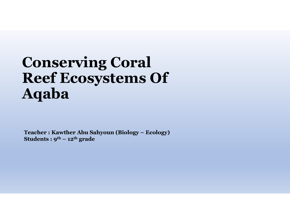# Conserving Coral Reef Ecosystems Of Aqaba  $\begin{array}{l} \textbf{Conserving } \textbf{Coral} \ \textbf{Reef } \textbf{Ecosystems } \textbf{Of} \ \textbf{Aqaba} \end{array}$ Conserving Coral<br>Reef Ecosystems Of<br>Aqaba<br>Teacher : Kawther Abu Sahyoun (Biology – Ecology)<br>Students : 9<sup>th – 12th</sup> grade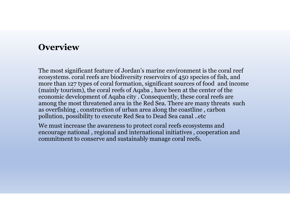## **Overview**

The most significant feature of Jordan's marine environment is the coral reef ecosystems. coral reefs are biodiversity reservoirs of 450 species of fish, and **Overview**<br>
The most significant feature of Jordan's marine environment is the coral reef<br>
ecosystems. coral reefs are biodiversity reservoirs of 450 species of fish, and<br>
more than 127 types of coral formation, significan (mainly tourism), the coral reefs of Aqaba , have been at the center of the economic development of Aqaba city . Consequently, these coral reefs are among the most threatened area in the Red Sea. There are many threats such as overfishing , construction of urban area along the coastline , carbon pollution, possibility to execute Red Sea to Dead Sea canal ..etc

We must increase the awareness to protect coral reefs ecosystems and encourage national , regional and international initiatives , cooperation and commitment to conserve and sustainably manage coral reefs.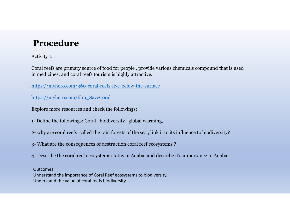# Procedure

Activity 1:

Coral reefs are primary source of food for people , provide various chemicals compound that is used in medicines, and coral reefs tourism is highly attractive. **Procedure**<br>
Activity 1:<br>
Coral reefs are primary source of food for people , provide various chemicals<br>
in medicines, and coral reefs tourism is highly attractive.<br>
https://myhero.com/360-coral-reefs-live-below-the-surfac **Procedure**<br>2- Activity 1:<br>2- Coral reefs are primary source of food for people , provide various chemicals compound that is used<br>in medicines, and coral reefs tourism is highly attractive.<br>2- why are composity in the sea Activity 1:<br>
Scral reefs are primary source of food for people , provide various chemicals compound that is<br>
in medicines, and coral reefs tourism is highly attractive.<br>
https://myhero.com/film\_SaveCoral<br>
Explore more reso Coral reefs are primary source of food for people , provide various chemicals compound that is used<br>in medicines, and coral reefs tourism is highly attractive.<br>
https://<u>myhero.com/360-coral-reefs-live-below-the-surface</u><br>

https://myhero.com/360-coral-reefs-live-below-the-surface

https://myhero.com/film\_SaveCoral

Explore more resources and check the followings:

Outcomes : Understand the importance of Coral Reef ecosystems to biodiversity. https://myhero.com/film\_SaveCoral<br>Explore more resources and check the followings:<br>- Define the followings: Coral , biodiversity , global warming,<br>- why are coral reefs called the rain forests of the sea , link it to its i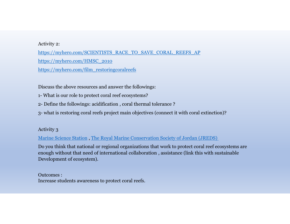## Activity 2:

https://myhero.com/SCIENTISTS\_RACE\_TO\_SAVE\_CORAL\_REEFS\_AP https://myhero.com/HMSC\_2010 https://myhero.com/film\_restoringcoralreefs Activity 2:<br>
https://myhero.com/SCIENTISTS\_RACE\_TO\_SAVE\_CORAL\_REEFS\_AP<br>
https://myhero.com/HMSC\_2010<br>
https://myhero.com/film\_restoringcoralreefs<br>
Discuss the above resources and answer the followings:<br>
1- What is our role Activity 2:<br>
https://myhero.com/SCIENTISTS\_RACE\_TO\_SAVE\_CORAL\_REEFS\_AP<br>
https://myhero.com/HMSC\_2010<br>
https://myhero.com/film\_restoringcoralreefs<br>
Discuss the above resources and answer the followings:<br>
1- What is our role Activity 2:<br>
https://myhero.com/SCIENTISTS\_RACE\_TO\_SAVE\_CORAL\_REEFS\_AP<br>
https://myhero.com/film\_restoringcoralreefs<br>
Discuss the above resources and answer the followings:<br>
1- What is our role to protect coral reef ecosyst

Discuss the above resources and answer the followings:

#### Activity 3

Marine Science Station , The Royal Marine Conservation Society of Jordan (JREDS)

Do you think that national or regional organizations that work to protect coral reef ecosystems are enough without that need of international collaboration , assistance (link this with sustainable Development of ecosystem). Discuss the above resources and answer the tollowings:<br>1- What is our role to protect coral reef ecosystems?<br>2- Define the followings: acidification , coral thermal tolerance ?<br>3- what is restoring coral reefs project main

Outcomes :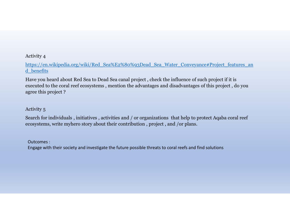## Activity 4

https://en.wikipedia.org/wiki/Red\_Sea%E2%80%93Dead\_Sea\_Water\_Conveyance#Project\_features\_an d\_benefits

Have you heard about Red Sea to Dead Sea canal project , check the influence of such project if it is executed to the coral reef ecosystems , mention the advantages and disadvantages of this project , do you agree this project ? Activity 4<br>
https://en.wikipedia.org/wiki/Red\_Sea%E2%80%93Dead\_Sea\_Water\_Conveyance#Project\_features\_an<br>
d\_benefits<br>
Have you heard about Red Sea to Dead Sea canal project , check the influence of such project if it is<br>
ex Activity 4<br>https://en.wikipedia.org/wiki/Red\_Sea%E2%80%93Dead\_Sea\_Water\_Conveyance#Project\_features\_an<br>d\_benefits<br>Have you heard about Red Sea to Dead Sea canal project , check the influence of such project if it is<br>execut

## Activity 5

Outcomes :

Engage with their society and investigate the future possible threats to coral reefs and find solutions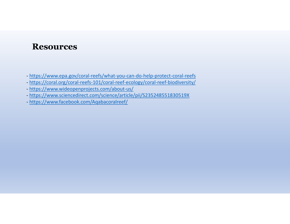## **Resources**

- https://www.epa.gov/coral-reefs/what-you-can-do-help-protect-coral-reefs
- https://coral.org/coral-reefs-101/coral-reef-ecology/coral-reef-biodiversity/
- https://www.wideopenprojects.com/about-us/
- https://www.sciencedirect.com/science/article/pii/S235248551830519X
- https://www.facebook.com/Aqabacoralreef/